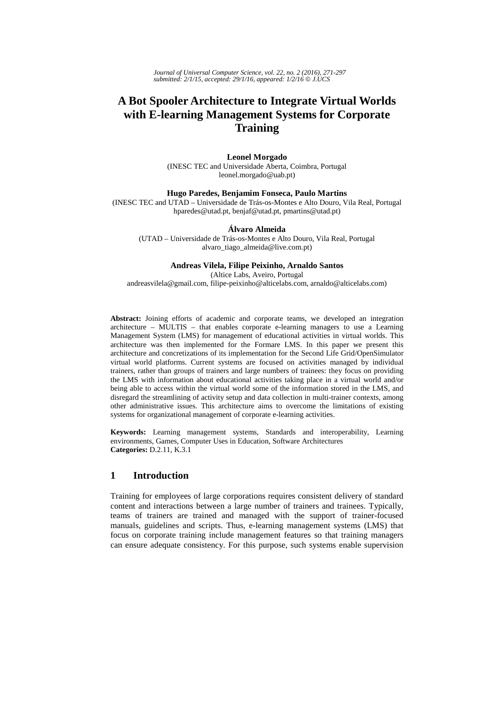*Journal of Universal Computer Science, vol. 22, no. 2 (2016), 271-297 submitted: 2/1/15, accepted: 29/1/16, appeared: 1/2/16* © *J.UCS*

# **A Bot Spooler Architecture to Integrate Virtual Worlds with E-learning Management Systems for Corporate Training**

#### **Leonel Morgado**

(INESC TEC and Universidade Aberta, Coimbra, Portugal leonel.morgado@uab.pt)

# **Hugo Paredes, Benjamim Fonseca, Paulo Martins**

(INESC TEC and UTAD – Universidade de Trás-os-Montes e Alto Douro, Vila Real, Portugal hparedes@utad.pt, benjaf@utad.pt, pmartins@utad.pt)

#### **Álvaro Almeida**

(UTAD – Universidade de Trás-os-Montes e Alto Douro, Vila Real, Portugal alvaro\_tiago\_almeida@live.com.pt)

#### **Andreas Vilela, Filipe Peixinho, Arnaldo Santos**

(Altice Labs, Aveiro, Portugal andreasvilela@gmail.com, filipe-peixinho@alticelabs.com, arnaldo@alticelabs.com)

**Abstract:** Joining efforts of academic and corporate teams, we developed an integration architecture – MULTIS – that enables corporate e-learning managers to use a Learning Management System (LMS) for management of educational activities in virtual worlds. This architecture was then implemented for the Formare LMS. In this paper we present this architecture and concretizations of its implementation for the Second Life Grid/OpenSimulator virtual world platforms. Current systems are focused on activities managed by individual trainers, rather than groups of trainers and large numbers of trainees: they focus on providing the LMS with information about educational activities taking place in a virtual world and/or being able to access within the virtual world some of the information stored in the LMS, and disregard the streamlining of activity setup and data collection in multi-trainer contexts, among other administrative issues. This architecture aims to overcome the limitations of existing systems for organizational management of corporate e-learning activities.

**Keywords:** Learning management systems, Standards and interoperability, Learning environments, Games, Computer Uses in Education, Software Architectures **Categories:** D.2.11, K.3.1

### **1 Introduction**

Training for employees of large corporations requires consistent delivery of standard content and interactions between a large number of trainers and trainees. Typically, teams of trainers are trained and managed with the support of trainer-focused manuals, guidelines and scripts. Thus, e-learning management systems (LMS) that focus on corporate training include management features so that training managers can ensure adequate consistency. For this purpose, such systems enable supervision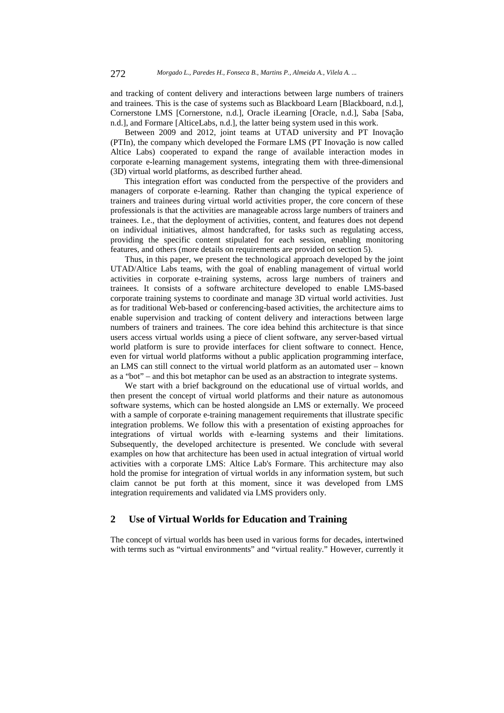and tracking of content delivery and interactions between large numbers of trainers and trainees. This is the case of systems such as Blackboard Learn [Blackboard, n.d.], Cornerstone LMS [Cornerstone, n.d.], Oracle iLearning [Oracle, n.d.], Saba [Saba, n.d.], and Formare [AlticeLabs, n.d.], the latter being system used in this work.

Between 2009 and 2012, joint teams at UTAD university and PT Inovação (PTIn), the company which developed the Formare LMS (PT Inovação is now called Altice Labs) cooperated to expand the range of available interaction modes in corporate e-learning management systems, integrating them with three-dimensional (3D) virtual world platforms, as described further ahead.

This integration effort was conducted from the perspective of the providers and managers of corporate e-learning. Rather than changing the typical experience of trainers and trainees during virtual world activities proper, the core concern of these professionals is that the activities are manageable across large numbers of trainers and trainees. I.e., that the deployment of activities, content, and features does not depend on individual initiatives, almost handcrafted, for tasks such as regulating access, providing the specific content stipulated for each session, enabling monitoring features, and others (more details on requirements are provided on section 5).

Thus, in this paper, we present the technological approach developed by the joint UTAD/Altice Labs teams, with the goal of enabling management of virtual world activities in corporate e-training systems, across large numbers of trainers and trainees. It consists of a software architecture developed to enable LMS-based corporate training systems to coordinate and manage 3D virtual world activities. Just as for traditional Web-based or conferencing-based activities, the architecture aims to enable supervision and tracking of content delivery and interactions between large numbers of trainers and trainees. The core idea behind this architecture is that since users access virtual worlds using a piece of client software, any server-based virtual world platform is sure to provide interfaces for client software to connect. Hence, even for virtual world platforms without a public application programming interface, an LMS can still connect to the virtual world platform as an automated user – known as a "bot" – and this bot metaphor can be used as an abstraction to integrate systems.

We start with a brief background on the educational use of virtual worlds, and then present the concept of virtual world platforms and their nature as autonomous software systems, which can be hosted alongside an LMS or externally. We proceed with a sample of corporate e-training management requirements that illustrate specific integration problems. We follow this with a presentation of existing approaches for integrations of virtual worlds with e-learning systems and their limitations. Subsequently, the developed architecture is presented. We conclude with several examples on how that architecture has been used in actual integration of virtual world activities with a corporate LMS: Altice Lab's Formare. This architecture may also hold the promise for integration of virtual worlds in any information system, but such claim cannot be put forth at this moment, since it was developed from LMS integration requirements and validated via LMS providers only.

# **2 Use of Virtual Worlds for Education and Training**

The concept of virtual worlds has been used in various forms for decades, intertwined with terms such as "virtual environments" and "virtual reality." However, currently it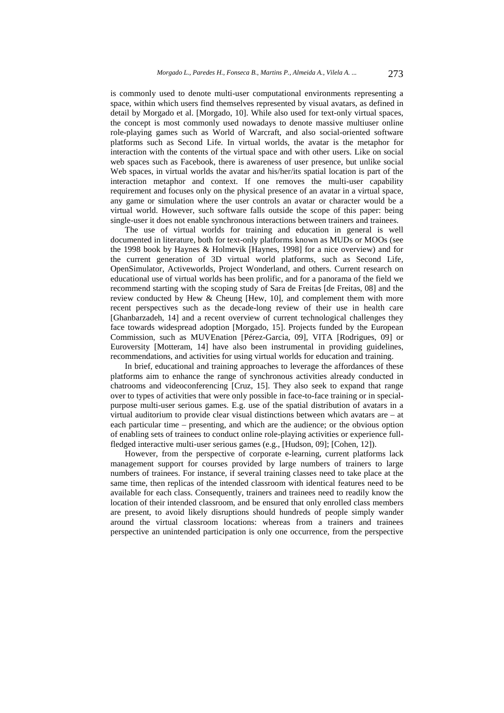is commonly used to denote multi-user computational environments representing a space, within which users find themselves represented by visual avatars, as defined in detail by Morgado et al. [Morgado, 10]. While also used for text-only virtual spaces, the concept is most commonly used nowadays to denote massive multiuser online role-playing games such as World of Warcraft, and also social-oriented software platforms such as Second Life. In virtual worlds, the avatar is the metaphor for interaction with the contents of the virtual space and with other users. Like on social web spaces such as Facebook, there is awareness of user presence, but unlike social Web spaces, in virtual worlds the avatar and his/her/its spatial location is part of the interaction metaphor and context. If one removes the multi-user capability requirement and focuses only on the physical presence of an avatar in a virtual space, any game or simulation where the user controls an avatar or character would be a virtual world. However, such software falls outside the scope of this paper: being single-user it does not enable synchronous interactions between trainers and trainees.

The use of virtual worlds for training and education in general is well documented in literature, both for text-only platforms known as MUDs or MOOs (see the 1998 book by Haynes & Holmevik [Haynes, 1998] for a nice overview) and for the current generation of 3D virtual world platforms, such as Second Life, OpenSimulator, Activeworlds, Project Wonderland, and others. Current research on educational use of virtual worlds has been prolific, and for a panorama of the field we recommend starting with the scoping study of Sara de Freitas [de Freitas, 08] and the review conducted by Hew & Cheung [Hew, 10], and complement them with more recent perspectives such as the decade-long review of their use in health care [Ghanbarzadeh, 14] and a recent overview of current technological challenges they face towards widespread adoption [Morgado, 15]. Projects funded by the European Commission, such as MUVEnation [Pérez-Garcia, 09], VITA [Rodrigues, 09] or Euroversity [Motteram, 14] have also been instrumental in providing guidelines, recommendations, and activities for using virtual worlds for education and training.

In brief, educational and training approaches to leverage the affordances of these platforms aim to enhance the range of synchronous activities already conducted in chatrooms and videoconferencing [Cruz, 15]. They also seek to expand that range over to types of activities that were only possible in face-to-face training or in specialpurpose multi-user serious games. E.g. use of the spatial distribution of avatars in a virtual auditorium to provide clear visual distinctions between which avatars are – at each particular time – presenting, and which are the audience; or the obvious option of enabling sets of trainees to conduct online role-playing activities or experience fullfledged interactive multi-user serious games (e.g., [Hudson, 09]; [Cohen, 12]).

However, from the perspective of corporate e-learning, current platforms lack management support for courses provided by large numbers of trainers to large numbers of trainees. For instance, if several training classes need to take place at the same time, then replicas of the intended classroom with identical features need to be available for each class. Consequently, trainers and trainees need to readily know the location of their intended classroom, and be ensured that only enrolled class members are present, to avoid likely disruptions should hundreds of people simply wander around the virtual classroom locations: whereas from a trainers and trainees perspective an unintended participation is only one occurrence, from the perspective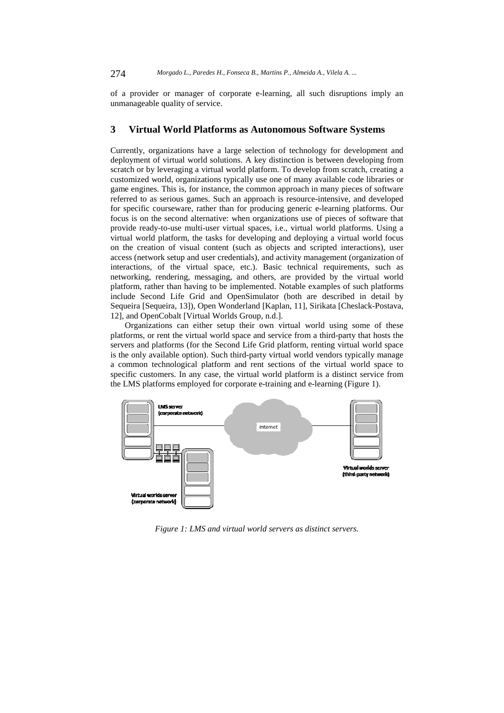of a provider or manager of corporate e-learning, all such disruptions imply an unmanageable quality of service.

# **3 Virtual World Platforms as Autonomous Software Systems**

Currently, organizations have a large selection of technology for development and deployment of virtual world solutions. A key distinction is between developing from scratch or by leveraging a virtual world platform. To develop from scratch, creating a customized world, organizations typically use one of many available code libraries or game engines. This is, for instance, the common approach in many pieces of software referred to as serious games. Such an approach is resource-intensive, and developed for specific courseware, rather than for producing generic e-learning platforms. Our focus is on the second alternative: when organizations use of pieces of software that provide ready-to-use multi-user virtual spaces, i.e., virtual world platforms. Using a virtual world platform, the tasks for developing and deploying a virtual world focus on the creation of visual content (such as objects and scripted interactions), user access (network setup and user credentials), and activity management (organization of interactions, of the virtual space, etc.). Basic technical requirements, such as networking, rendering, messaging, and others, are provided by the virtual world platform, rather than having to be implemented. Notable examples of such platforms include Second Life Grid and OpenSimulator (both are described in detail by Sequeira [Sequeira, 13]), Open Wonderland [Kaplan, 11], Sirikata [Cheslack-Postava, 12], and OpenCobalt [Virtual Worlds Group, n.d.].

Organizations can either setup their own virtual world using some of these platforms, or rent the virtual world space and service from a third-party that hosts the servers and platforms (for the Second Life Grid platform, renting virtual world space is the only available option). Such third-party virtual world vendors typically manage a common technological platform and rent sections of the virtual world space to specific customers. In any case, the virtual world platform is a distinct service from the LMS platforms employed for corporate e-training and e-learning (Figure 1).



*Figure 1: LMS and virtual world servers as distinct servers.*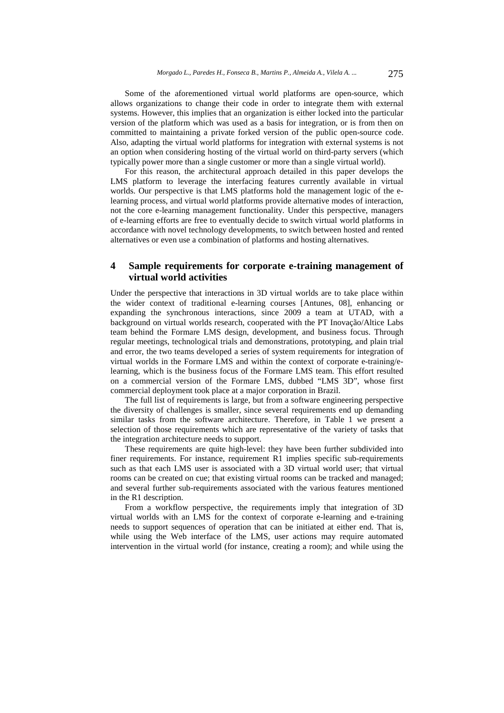Some of the aforementioned virtual world platforms are open-source, which allows organizations to change their code in order to integrate them with external systems. However, this implies that an organization is either locked into the particular version of the platform which was used as a basis for integration, or is from then on committed to maintaining a private forked version of the public open-source code. Also, adapting the virtual world platforms for integration with external systems is not an option when considering hosting of the virtual world on third-party servers (which typically power more than a single customer or more than a single virtual world).

For this reason, the architectural approach detailed in this paper develops the LMS platform to leverage the interfacing features currently available in virtual worlds. Our perspective is that LMS platforms hold the management logic of the elearning process, and virtual world platforms provide alternative modes of interaction, not the core e-learning management functionality. Under this perspective, managers of e-learning efforts are free to eventually decide to switch virtual world platforms in accordance with novel technology developments, to switch between hosted and rented alternatives or even use a combination of platforms and hosting alternatives.

# **4 Sample requirements for corporate e-training management of virtual world activities**

Under the perspective that interactions in 3D virtual worlds are to take place within the wider context of traditional e-learning courses [Antunes, 08], enhancing or expanding the synchronous interactions, since 2009 a team at UTAD, with a background on virtual worlds research, cooperated with the PT Inovação/Altice Labs team behind the Formare LMS design, development, and business focus. Through regular meetings, technological trials and demonstrations, prototyping, and plain trial and error, the two teams developed a series of system requirements for integration of virtual worlds in the Formare LMS and within the context of corporate e-training/elearning, which is the business focus of the Formare LMS team. This effort resulted on a commercial version of the Formare LMS, dubbed "LMS 3D", whose first commercial deployment took place at a major corporation in Brazil.

The full list of requirements is large, but from a software engineering perspective the diversity of challenges is smaller, since several requirements end up demanding similar tasks from the software architecture. Therefore, in Table 1 we present a selection of those requirements which are representative of the variety of tasks that the integration architecture needs to support.

These requirements are quite high-level: they have been further subdivided into finer requirements. For instance, requirement R1 implies specific sub-requirements such as that each LMS user is associated with a 3D virtual world user; that virtual rooms can be created on cue; that existing virtual rooms can be tracked and managed; and several further sub-requirements associated with the various features mentioned in the R1 description.

From a workflow perspective, the requirements imply that integration of 3D virtual worlds with an LMS for the context of corporate e-learning and e-training needs to support sequences of operation that can be initiated at either end. That is, while using the Web interface of the LMS, user actions may require automated intervention in the virtual world (for instance, creating a room); and while using the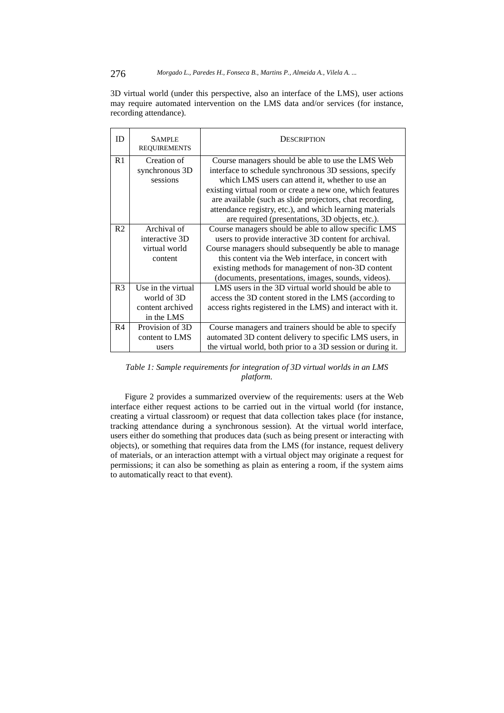3D virtual world (under this perspective, also an interface of the LMS), user actions may require automated intervention on the LMS data and/or services (for instance, recording attendance).

| ID             | <b>SAMPLE</b><br><b>REQUIREMENTS</b> | <b>DESCRIPTION</b>                                          |
|----------------|--------------------------------------|-------------------------------------------------------------|
| R1             | Creation of                          | Course managers should be able to use the LMS Web           |
|                | synchronous 3D                       | interface to schedule synchronous 3D sessions, specify      |
|                | sessions                             | which LMS users can attend it, whether to use an            |
|                |                                      | existing virtual room or create a new one, which features   |
|                |                                      | are available (such as slide projectors, chat recording,    |
|                |                                      | attendance registry, etc.), and which learning materials    |
|                |                                      | are required (presentations, 3D objects, etc.).             |
| R <sub>2</sub> | Archival of                          | Course managers should be able to allow specific LMS        |
|                | interactive 3D                       | users to provide interactive 3D content for archival.       |
|                | virtual world                        | Course managers should subsequently be able to manage       |
|                | content                              | this content via the Web interface, in concert with         |
|                |                                      | existing methods for management of non-3D content           |
|                |                                      | (documents, presentations, images, sounds, videos).         |
| R <sub>3</sub> | Use in the virtual                   | LMS users in the 3D virtual world should be able to         |
|                | world of 3D                          | access the 3D content stored in the LMS (according to       |
|                | content archived                     | access rights registered in the LMS) and interact with it.  |
|                | in the LMS                           |                                                             |
| R <sub>4</sub> | Provision of 3D                      | Course managers and trainers should be able to specify      |
|                | content to LMS                       | automated 3D content delivery to specific LMS users, in     |
|                | users                                | the virtual world, both prior to a 3D session or during it. |

# *Table 1: Sample requirements for integration of 3D virtual worlds in an LMS platform.*

Figure 2 provides a summarized overview of the requirements: users at the Web interface either request actions to be carried out in the virtual world (for instance, creating a virtual classroom) or request that data collection takes place (for instance, tracking attendance during a synchronous session). At the virtual world interface, users either do something that produces data (such as being present or interacting with objects), or something that requires data from the LMS (for instance, request delivery of materials, or an interaction attempt with a virtual object may originate a request for permissions; it can also be something as plain as entering a room, if the system aims to automatically react to that event).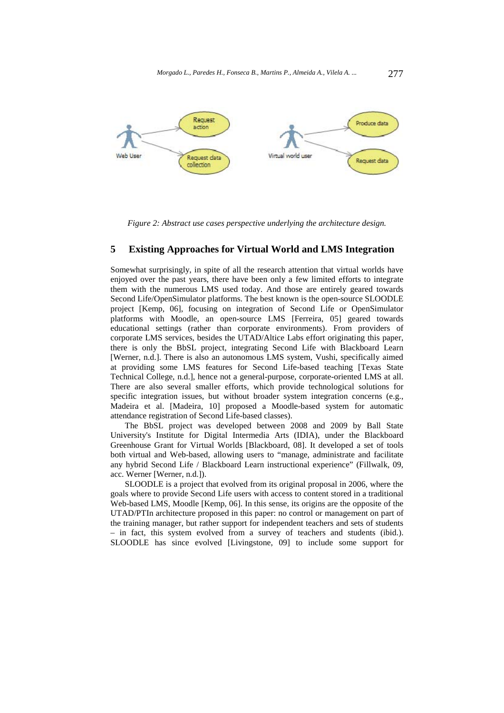

*Figure 2: Abstract use cases perspective underlying the architecture design.* 

# **5 Existing Approaches for Virtual World and LMS Integration**

Somewhat surprisingly, in spite of all the research attention that virtual worlds have enjoyed over the past years, there have been only a few limited efforts to integrate them with the numerous LMS used today. And those are entirely geared towards Second Life/OpenSimulator platforms. The best known is the open-source SLOODLE project [Kemp, 06], focusing on integration of Second Life or OpenSimulator platforms with Moodle, an open-source LMS [Ferreira, 05] geared towards educational settings (rather than corporate environments). From providers of corporate LMS services, besides the UTAD/Altice Labs effort originating this paper, there is only the BbSL project, integrating Second Life with Blackboard Learn [Werner, n.d.]. There is also an autonomous LMS system, Vushi, specifically aimed at providing some LMS features for Second Life-based teaching [Texas State Technical College, n.d.], hence not a general-purpose, corporate-oriented LMS at all. There are also several smaller efforts, which provide technological solutions for specific integration issues, but without broader system integration concerns (e.g., Madeira et al. [Madeira, 10] proposed a Moodle-based system for automatic attendance registration of Second Life-based classes).

The BbSL project was developed between 2008 and 2009 by Ball State University's Institute for Digital Intermedia Arts (IDIA), under the Blackboard Greenhouse Grant for Virtual Worlds [Blackboard, 08]. It developed a set of tools both virtual and Web-based, allowing users to "manage, administrate and facilitate any hybrid Second Life / Blackboard Learn instructional experience" (Fillwalk, 09, acc. Werner [Werner, n.d.]).

SLOODLE is a project that evolved from its original proposal in 2006, where the goals where to provide Second Life users with access to content stored in a traditional Web-based LMS, Moodle [Kemp, 06]. In this sense, its origins are the opposite of the UTAD/PTIn architecture proposed in this paper: no control or management on part of the training manager, but rather support for independent teachers and sets of students – in fact, this system evolved from a survey of teachers and students (ibid.). SLOODLE has since evolved [Livingstone, 09] to include some support for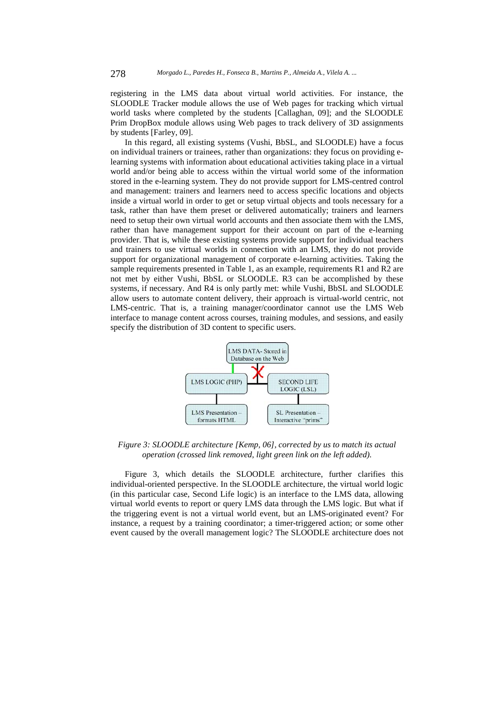registering in the LMS data about virtual world activities. For instance, the SLOODLE Tracker module allows the use of Web pages for tracking which virtual world tasks where completed by the students [Callaghan, 09]; and the SLOODLE Prim DropBox module allows using Web pages to track delivery of 3D assignments by students [Farley, 09].

In this regard, all existing systems (Vushi, BbSL, and SLOODLE) have a focus on individual trainers or trainees, rather than organizations: they focus on providing elearning systems with information about educational activities taking place in a virtual world and/or being able to access within the virtual world some of the information stored in the e-learning system. They do not provide support for LMS-centred control and management: trainers and learners need to access specific locations and objects inside a virtual world in order to get or setup virtual objects and tools necessary for a task, rather than have them preset or delivered automatically; trainers and learners need to setup their own virtual world accounts and then associate them with the LMS, rather than have management support for their account on part of the e-learning provider. That is, while these existing systems provide support for individual teachers and trainers to use virtual worlds in connection with an LMS, they do not provide support for organizational management of corporate e-learning activities. Taking the sample requirements presented in Table 1, as an example, requirements R1 and R2 are not met by either Vushi, BbSL or SLOODLE. R3 can be accomplished by these systems, if necessary. And R4 is only partly met: while Vushi, BbSL and SLOODLE allow users to automate content delivery, their approach is virtual-world centric, not LMS-centric. That is, a training manager/coordinator cannot use the LMS Web interface to manage content across courses, training modules, and sessions, and easily specify the distribution of 3D content to specific users.



*Figure 3: SLOODLE architecture [Kemp, 06], corrected by us to match its actual operation (crossed link removed, light green link on the left added).* 

Figure 3, which details the SLOODLE architecture, further clarifies this individual-oriented perspective. In the SLOODLE architecture, the virtual world logic (in this particular case, Second Life logic) is an interface to the LMS data, allowing virtual world events to report or query LMS data through the LMS logic. But what if the triggering event is not a virtual world event, but an LMS-originated event? For instance, a request by a training coordinator; a timer-triggered action; or some other event caused by the overall management logic? The SLOODLE architecture does not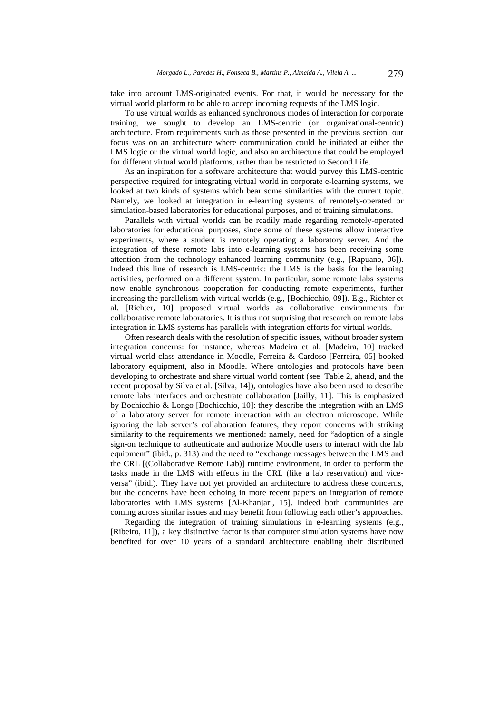take into account LMS-originated events. For that, it would be necessary for the virtual world platform to be able to accept incoming requests of the LMS logic.

To use virtual worlds as enhanced synchronous modes of interaction for corporate training, we sought to develop an LMS-centric (or organizational-centric) architecture. From requirements such as those presented in the previous section, our focus was on an architecture where communication could be initiated at either the LMS logic or the virtual world logic, and also an architecture that could be employed for different virtual world platforms, rather than be restricted to Second Life.

As an inspiration for a software architecture that would purvey this LMS-centric perspective required for integrating virtual world in corporate e-learning systems, we looked at two kinds of systems which bear some similarities with the current topic. Namely, we looked at integration in e-learning systems of remotely-operated or simulation-based laboratories for educational purposes, and of training simulations.

Parallels with virtual worlds can be readily made regarding remotely-operated laboratories for educational purposes, since some of these systems allow interactive experiments, where a student is remotely operating a laboratory server. And the integration of these remote labs into e-learning systems has been receiving some attention from the technology-enhanced learning community (e.g., [Rapuano, 06]). Indeed this line of research is LMS-centric: the LMS is the basis for the learning activities, performed on a different system. In particular, some remote labs systems now enable synchronous cooperation for conducting remote experiments, further increasing the parallelism with virtual worlds (e.g., [Bochicchio, 09]). E.g., Richter et al. [Richter, 10] proposed virtual worlds as collaborative environments for collaborative remote laboratories. It is thus not surprising that research on remote labs integration in LMS systems has parallels with integration efforts for virtual worlds.

Often research deals with the resolution of specific issues, without broader system integration concerns: for instance, whereas Madeira et al. [Madeira, 10] tracked virtual world class attendance in Moodle, Ferreira & Cardoso [Ferreira, 05] booked laboratory equipment, also in Moodle. Where ontologies and protocols have been developing to orchestrate and share virtual world content (see Table 2, ahead, and the recent proposal by Silva et al. [Silva, 14]), ontologies have also been used to describe remote labs interfaces and orchestrate collaboration [Jailly, 11]. This is emphasized by Bochicchio & Longo [Bochicchio, 10]: they describe the integration with an LMS of a laboratory server for remote interaction with an electron microscope. While ignoring the lab server's collaboration features, they report concerns with striking similarity to the requirements we mentioned: namely, need for "adoption of a single sign-on technique to authenticate and authorize Moodle users to interact with the lab equipment" (ibid., p. 313) and the need to "exchange messages between the LMS and the CRL [(Collaborative Remote Lab)] runtime environment, in order to perform the tasks made in the LMS with effects in the CRL (like a lab reservation) and viceversa" (ibid.). They have not yet provided an architecture to address these concerns, but the concerns have been echoing in more recent papers on integration of remote laboratories with LMS systems [Al-Khanjari, 15]. Indeed both communities are coming across similar issues and may benefit from following each other's approaches.

Regarding the integration of training simulations in e-learning systems (e.g., [Ribeiro, 11]), a key distinctive factor is that computer simulation systems have now benefited for over 10 years of a standard architecture enabling their distributed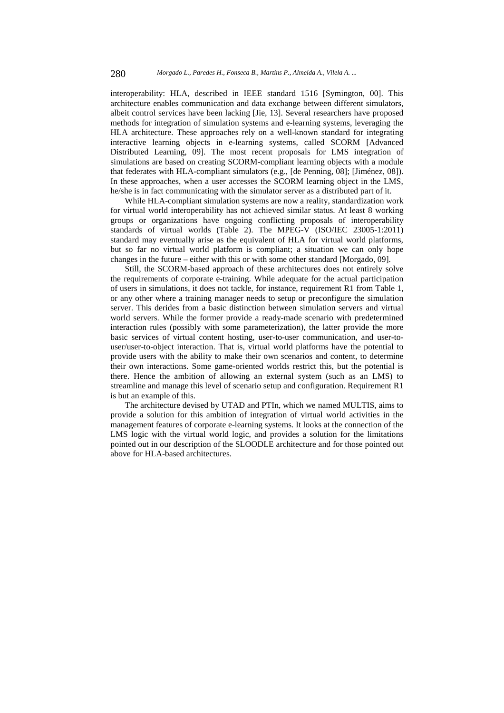interoperability: HLA, described in IEEE standard 1516 [Symington, 00]. This architecture enables communication and data exchange between different simulators, albeit control services have been lacking [Jie, 13]. Several researchers have proposed methods for integration of simulation systems and e-learning systems, leveraging the HLA architecture. These approaches rely on a well-known standard for integrating interactive learning objects in e-learning systems, called SCORM [Advanced Distributed Learning, 09]. The most recent proposals for LMS integration of simulations are based on creating SCORM-compliant learning objects with a module that federates with HLA-compliant simulators (e.g., [de Penning, 08]; [Jiménez, 08]). In these approaches, when a user accesses the SCORM learning object in the LMS, he/she is in fact communicating with the simulator server as a distributed part of it.

While HLA-compliant simulation systems are now a reality, standardization work for virtual world interoperability has not achieved similar status. At least 8 working groups or organizations have ongoing conflicting proposals of interoperability standards of virtual worlds (Table 2). The MPEG-V (ISO/IEC 23005-1:2011) standard may eventually arise as the equivalent of HLA for virtual world platforms, but so far no virtual world platform is compliant; a situation we can only hope changes in the future – either with this or with some other standard [Morgado, 09].

Still, the SCORM-based approach of these architectures does not entirely solve the requirements of corporate e-training. While adequate for the actual participation of users in simulations, it does not tackle, for instance, requirement R1 from Table 1, or any other where a training manager needs to setup or preconfigure the simulation server. This derides from a basic distinction between simulation servers and virtual world servers. While the former provide a ready-made scenario with predetermined interaction rules (possibly with some parameterization), the latter provide the more basic services of virtual content hosting, user-to-user communication, and user-touser/user-to-object interaction. That is, virtual world platforms have the potential to provide users with the ability to make their own scenarios and content, to determine their own interactions. Some game-oriented worlds restrict this, but the potential is there. Hence the ambition of allowing an external system (such as an LMS) to streamline and manage this level of scenario setup and configuration. Requirement R1 is but an example of this.

The architecture devised by UTAD and PTIn, which we named MULTIS, aims to provide a solution for this ambition of integration of virtual world activities in the management features of corporate e-learning systems. It looks at the connection of the LMS logic with the virtual world logic, and provides a solution for the limitations pointed out in our description of the SLOODLE architecture and for those pointed out above for HLA-based architectures.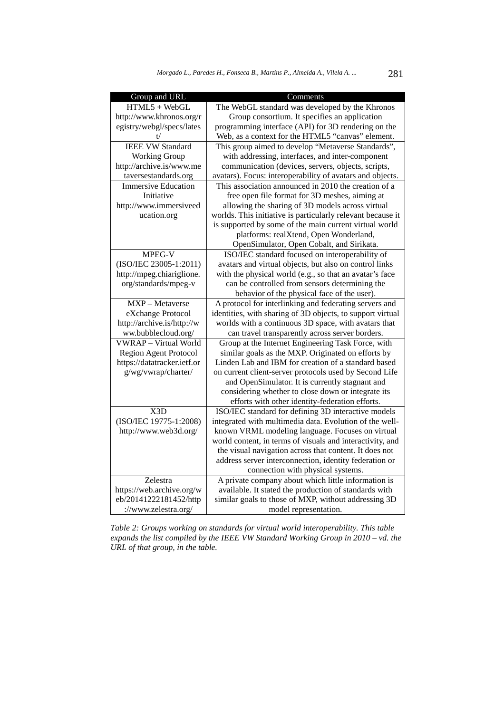| Group and URL                | Comments                                                    |
|------------------------------|-------------------------------------------------------------|
| $HTML5 + WebGL$              | The WebGL standard was developed by the Khronos             |
| http://www.khronos.org/r     | Group consortium. It specifies an application               |
| egistry/webgl/specs/lates    | programming interface (API) for 3D rendering on the         |
| t/                           | Web, as a context for the HTML5 "canvas" element.           |
| <b>IEEE VW Standard</b>      | This group aimed to develop "Metaverse Standards",          |
| <b>Working Group</b>         | with addressing, interfaces, and inter-component            |
| http://archive.is/www.me     | communication (devices, servers, objects, scripts,          |
| taversestandards.org         | avatars). Focus: interoperability of avatars and objects.   |
| <b>Immersive Education</b>   | This association announced in 2010 the creation of a        |
| Initiative                   | free open file format for 3D meshes, aiming at              |
| http://www.immersiveed       | allowing the sharing of 3D models across virtual            |
| ucation.org                  | worlds. This initiative is particularly relevant because it |
|                              | is supported by some of the main current virtual world      |
|                              | platforms: realXtend, Open Wonderland,                      |
|                              | OpenSimulator, Open Cobalt, and Sirikata.                   |
| MPEG-V                       | ISO/IEC standard focused on interoperability of             |
| (ISO/IEC 23005-1:2011)       | avatars and virtual objects, but also on control links      |
| http://mpeg.chiariglione.    | with the physical world (e.g., so that an avatar's face     |
| org/standards/mpeg-v         | can be controlled from sensors determining the              |
|                              | behavior of the physical face of the user).                 |
| MXP - Metaverse              | A protocol for interlinking and federating servers and      |
| eXchange Protocol            | identities, with sharing of 3D objects, to support virtual  |
| http://archive.is/http://w   | worlds with a continuous 3D space, with avatars that        |
| ww.bubblecloud.org/          | can travel transparently across server borders.             |
| <b>VWRAP</b> - Virtual World | Group at the Internet Engineering Task Force, with          |
| Region Agent Protocol        | similar goals as the MXP. Originated on efforts by          |
| https://datatracker.ietf.or  | Linden Lab and IBM for creation of a standard based         |
| g/wg/vwrap/charter/          | on current client-server protocols used by Second Life      |
|                              | and OpenSimulator. It is currently stagnant and             |
|                              | considering whether to close down or integrate its          |
|                              | efforts with other identity-federation efforts.             |
| X3D                          | ISO/IEC standard for defining 3D interactive models         |
| (ISO/IEC 19775-1:2008)       | integrated with multimedia data. Evolution of the well-     |
| http://www.web3d.org/        | known VRML modeling language. Focuses on virtual            |
|                              | world content, in terms of visuals and interactivity, and   |
|                              | the visual navigation across that content. It does not      |
|                              | address server interconnection, identity federation or      |
|                              | connection with physical systems.                           |
| Zelestra                     | A private company about which little information is         |
| https://web.archive.org/w    | available. It stated the production of standards with       |
| eb/20141222181452/http       | similar goals to those of MXP, without addressing 3D        |
| ://www.zelestra.org/         | model representation.                                       |

*Table 2: Groups working on standards for virtual world interoperability. This table expands the list compiled by the IEEE VW Standard Working Group in 2010 – vd. the URL of that group, in the table.*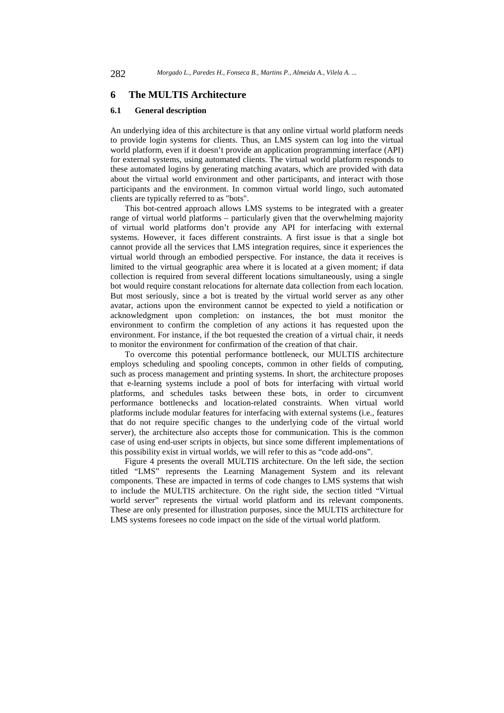### **6 The MULTIS Architecture**

#### **6.1 General description**

An underlying idea of this architecture is that any online virtual world platform needs to provide login systems for clients. Thus, an LMS system can log into the virtual world platform, even if it doesn't provide an application programming interface (API) for external systems, using automated clients. The virtual world platform responds to these automated logins by generating matching avatars, which are provided with data about the virtual world environment and other participants, and interact with those participants and the environment. In common virtual world lingo, such automated clients are typically referred to as "bots".

This bot-centred approach allows LMS systems to be integrated with a greater range of virtual world platforms – particularly given that the overwhelming majority of virtual world platforms don't provide any API for interfacing with external systems. However, it faces different constraints. A first issue is that a single bot cannot provide all the services that LMS integration requires, since it experiences the virtual world through an embodied perspective. For instance, the data it receives is limited to the virtual geographic area where it is located at a given moment; if data collection is required from several different locations simultaneously, using a single bot would require constant relocations for alternate data collection from each location. But most seriously, since a bot is treated by the virtual world server as any other avatar, actions upon the environment cannot be expected to yield a notification or acknowledgment upon completion: on instances, the bot must monitor the environment to confirm the completion of any actions it has requested upon the environment. For instance, if the bot requested the creation of a virtual chair, it needs to monitor the environment for confirmation of the creation of that chair.

To overcome this potential performance bottleneck, our MULTIS architecture employs scheduling and spooling concepts, common in other fields of computing, such as process management and printing systems. In short, the architecture proposes that e-learning systems include a pool of bots for interfacing with virtual world platforms, and schedules tasks between these bots, in order to circumvent performance bottlenecks and location-related constraints. When virtual world platforms include modular features for interfacing with external systems (i.e., features that do not require specific changes to the underlying code of the virtual world server), the architecture also accepts those for communication. This is the common case of using end-user scripts in objects, but since some different implementations of this possibility exist in virtual worlds, we will refer to this as "code add-ons".

Figure 4 presents the overall MULTIS architecture. On the left side, the section titled "LMS" represents the Learning Management System and its relevant components. These are impacted in terms of code changes to LMS systems that wish to include the MULTIS architecture. On the right side, the section titled "Virtual world server" represents the virtual world platform and its relevant components. These are only presented for illustration purposes, since the MULTIS architecture for LMS systems foresees no code impact on the side of the virtual world platform.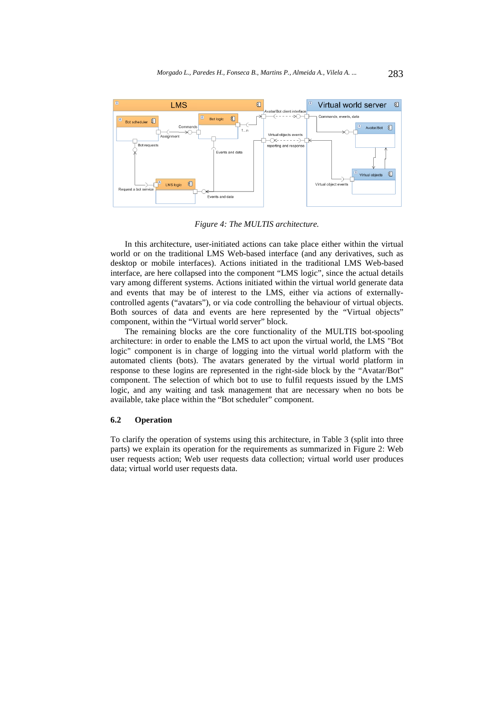

*Figure 4: The MULTIS architecture.* 

In this architecture, user-initiated actions can take place either within the virtual world or on the traditional LMS Web-based interface (and any derivatives, such as desktop or mobile interfaces). Actions initiated in the traditional LMS Web-based interface, are here collapsed into the component "LMS logic", since the actual details vary among different systems. Actions initiated within the virtual world generate data and events that may be of interest to the LMS, either via actions of externallycontrolled agents ("avatars"), or via code controlling the behaviour of virtual objects. Both sources of data and events are here represented by the "Virtual objects" component, within the "Virtual world server" block.

The remaining blocks are the core functionality of the MULTIS bot-spooling architecture: in order to enable the LMS to act upon the virtual world, the LMS "Bot logic" component is in charge of logging into the virtual world platform with the automated clients (bots). The avatars generated by the virtual world platform in response to these logins are represented in the right-side block by the "Avatar/Bot" component. The selection of which bot to use to fulfil requests issued by the LMS logic, and any waiting and task management that are necessary when no bots be available, take place within the "Bot scheduler" component.

#### **6.2 Operation**

To clarify the operation of systems using this architecture, in Table 3 (split into three parts) we explain its operation for the requirements as summarized in Figure 2: Web user requests action; Web user requests data collection; virtual world user produces data; virtual world user requests data.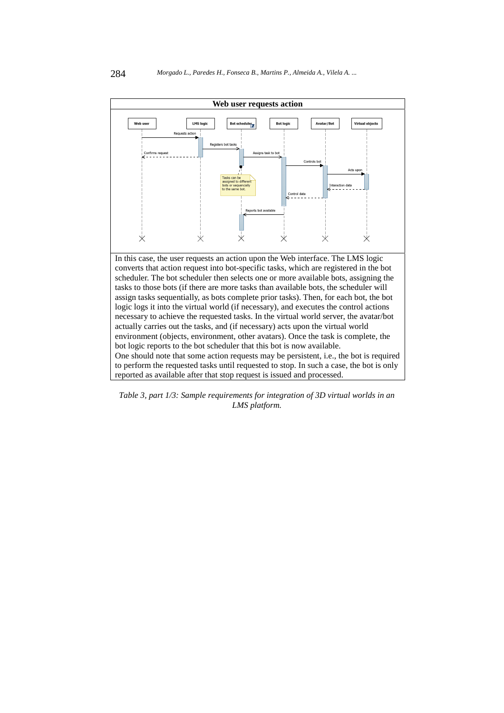

*Table 3, part 1/3: Sample requirements for integration of 3D virtual worlds in an LMS platform.*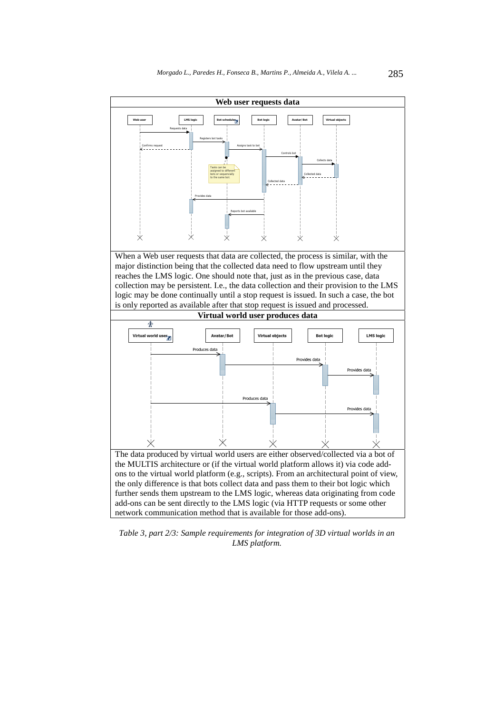

*Table 3, part 2/3: Sample requirements for integration of 3D virtual worlds in an LMS platform.*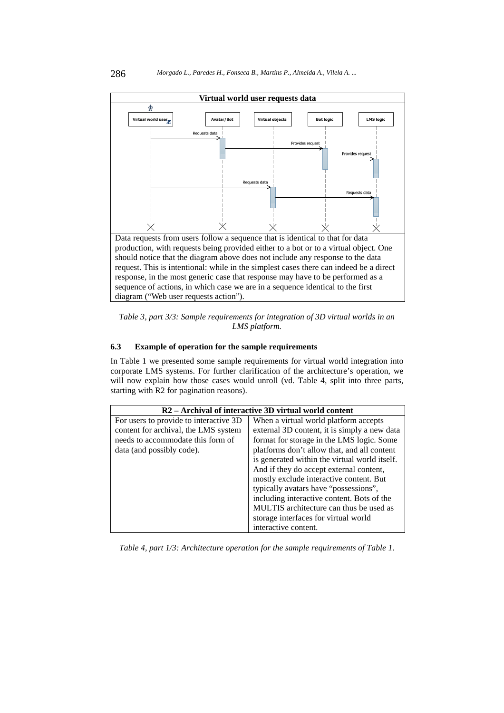

*Table 3, part 3/3: Sample requirements for integration of 3D virtual worlds in an LMS platform.* 

# **6.3 Example of operation for the sample requirements**

In Table 1 we presented some sample requirements for virtual world integration into corporate LMS systems. For further clarification of the architecture's operation, we will now explain how those cases would unroll (vd. Table 4, split into three parts, starting with R2 for pagination reasons).

| R <sub>2</sub> – Archival of interactive 3D virtual world content |                                               |  |  |  |
|-------------------------------------------------------------------|-----------------------------------------------|--|--|--|
| For users to provide to interactive 3D                            | When a virtual world platform accepts         |  |  |  |
| content for archival, the LMS system                              | external 3D content, it is simply a new data  |  |  |  |
| needs to accommodate this form of                                 | format for storage in the LMS logic. Some     |  |  |  |
| data (and possibly code).                                         | platforms don't allow that, and all content   |  |  |  |
|                                                                   | is generated within the virtual world itself. |  |  |  |
|                                                                   | And if they do accept external content,       |  |  |  |
|                                                                   | mostly exclude interactive content. But       |  |  |  |
|                                                                   | typically avatars have "possessions",         |  |  |  |
|                                                                   | including interactive content. Bots of the    |  |  |  |
|                                                                   | MULTIS architecture can thus be used as       |  |  |  |
|                                                                   | storage interfaces for virtual world          |  |  |  |
|                                                                   | interactive content.                          |  |  |  |

*Table 4, part 1/3: Architecture operation for the sample requirements of Table 1.*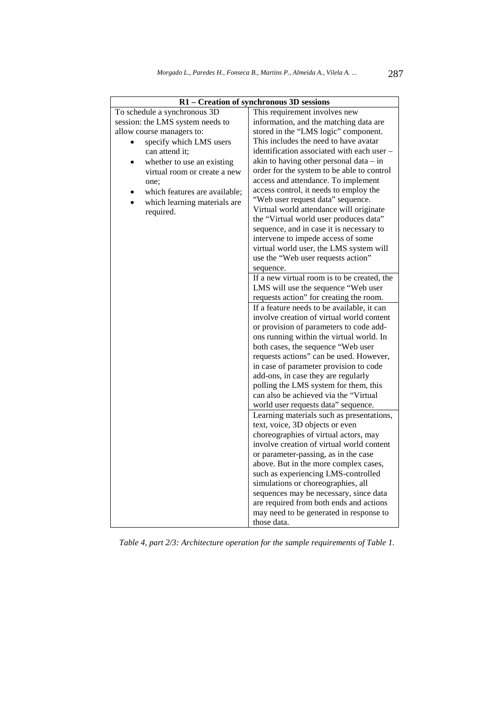| R1 – Creation of synchronous 3D sessions |                                             |  |  |  |
|------------------------------------------|---------------------------------------------|--|--|--|
| To schedule a synchronous 3D             | This requirement involves new               |  |  |  |
| session: the LMS system needs to         | information, and the matching data are      |  |  |  |
| allow course managers to:                | stored in the "LMS logic" component.        |  |  |  |
| specify which LMS users<br>$\bullet$     | This includes the need to have avatar       |  |  |  |
| can attend it;                           | identification associated with each user -  |  |  |  |
| whether to use an existing               | akin to having other personal data - in     |  |  |  |
| virtual room or create a new             | order for the system to be able to control  |  |  |  |
| one:                                     | access and attendance. To implement         |  |  |  |
| which features are available;            | access control, it needs to employ the      |  |  |  |
| which learning materials are             | "Web user request data" sequence.           |  |  |  |
| required.                                | Virtual world attendance will originate     |  |  |  |
|                                          | the "Virtual world user produces data"      |  |  |  |
|                                          | sequence, and in case it is necessary to    |  |  |  |
|                                          | intervene to impede access of some          |  |  |  |
|                                          | virtual world user, the LMS system will     |  |  |  |
|                                          | use the "Web user requests action"          |  |  |  |
|                                          | sequence.                                   |  |  |  |
|                                          | If a new virtual room is to be created, the |  |  |  |
|                                          | LMS will use the sequence "Web user         |  |  |  |
|                                          | requests action" for creating the room.     |  |  |  |
|                                          | If a feature needs to be available, it can  |  |  |  |
|                                          | involve creation of virtual world content   |  |  |  |
|                                          | or provision of parameters to code add-     |  |  |  |
|                                          | ons running within the virtual world. In    |  |  |  |
|                                          | both cases, the sequence "Web user          |  |  |  |
|                                          | requests actions" can be used. However,     |  |  |  |
|                                          | in case of parameter provision to code      |  |  |  |
|                                          | add-ons, in case they are regularly         |  |  |  |
|                                          | polling the LMS system for them, this       |  |  |  |
|                                          | can also be achieved via the "Virtual       |  |  |  |
|                                          | world user requests data" sequence.         |  |  |  |
|                                          | Learning materials such as presentations,   |  |  |  |
|                                          | text, voice, 3D objects or even             |  |  |  |
|                                          | choreographies of virtual actors, may       |  |  |  |
|                                          | involve creation of virtual world content   |  |  |  |
|                                          | or parameter-passing, as in the case        |  |  |  |
|                                          | above. But in the more complex cases,       |  |  |  |
|                                          | such as experiencing LMS-controlled         |  |  |  |
|                                          | simulations or choreographies, all          |  |  |  |
|                                          | sequences may be necessary, since data      |  |  |  |
|                                          | are required from both ends and actions     |  |  |  |
|                                          | may need to be generated in response to     |  |  |  |
|                                          | those data.                                 |  |  |  |

*Table 4, part 2/3: Architecture operation for the sample requirements of Table 1.*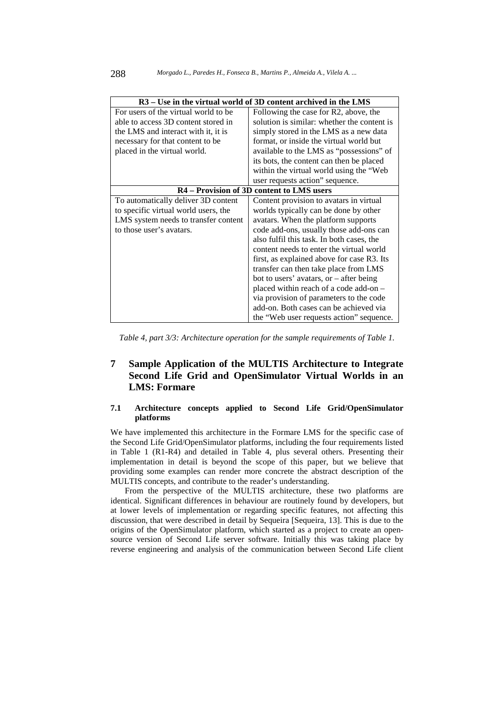| R3 – Use in the virtual world of 3D content archived in the LMS |                                             |  |  |  |
|-----------------------------------------------------------------|---------------------------------------------|--|--|--|
| For users of the virtual world to be                            | Following the case for R2, above, the       |  |  |  |
| able to access 3D content stored in                             | solution is similar: whether the content is |  |  |  |
| the LMS and interact with it, it is                             | simply stored in the LMS as a new data      |  |  |  |
| necessary for that content to be                                | format, or inside the virtual world but     |  |  |  |
| placed in the virtual world.                                    | available to the LMS as "possessions" of    |  |  |  |
|                                                                 | its bots, the content can then be placed    |  |  |  |
|                                                                 | within the virtual world using the "Web"    |  |  |  |
|                                                                 | user requests action" sequence.             |  |  |  |
| R4 – Provision of 3D content to LMS users                       |                                             |  |  |  |
| To automatically deliver 3D content                             | Content provision to avatars in virtual     |  |  |  |
| to specific virtual world users, the                            | worlds typically can be done by other       |  |  |  |
| LMS system needs to transfer content                            | avatars. When the platform supports         |  |  |  |
| to those user's avatars.                                        | code add-ons, usually those add-ons can     |  |  |  |
|                                                                 | also fulfil this task. In both cases, the   |  |  |  |
|                                                                 | content needs to enter the virtual world    |  |  |  |
|                                                                 | first, as explained above for case R3. Its  |  |  |  |
|                                                                 | transfer can then take place from LMS       |  |  |  |
|                                                                 | bot to users' avatars, or $-$ after being   |  |  |  |
|                                                                 | placed within reach of a code add-on -      |  |  |  |
|                                                                 | via provision of parameters to the code     |  |  |  |
|                                                                 | add-on. Both cases can be achieved via      |  |  |  |
|                                                                 | the "Web user requests action" sequence.    |  |  |  |

*Table 4, part 3/3: Architecture operation for the sample requirements of Table 1.* 

# **7 Sample Application of the MULTIS Architecture to Integrate Second Life Grid and OpenSimulator Virtual Worlds in an LMS: Formare**

# **7.1 Architecture concepts applied to Second Life Grid/OpenSimulator platforms**

We have implemented this architecture in the Formare LMS for the specific case of the Second Life Grid/OpenSimulator platforms, including the four requirements listed in Table 1 (R1-R4) and detailed in Table 4, plus several others. Presenting their implementation in detail is beyond the scope of this paper, but we believe that providing some examples can render more concrete the abstract description of the MULTIS concepts, and contribute to the reader's understanding.

From the perspective of the MULTIS architecture, these two platforms are identical. Significant differences in behaviour are routinely found by developers, but at lower levels of implementation or regarding specific features, not affecting this discussion, that were described in detail by Sequeira [Sequeira, 13]. This is due to the origins of the OpenSimulator platform, which started as a project to create an opensource version of Second Life server software. Initially this was taking place by reverse engineering and analysis of the communication between Second Life client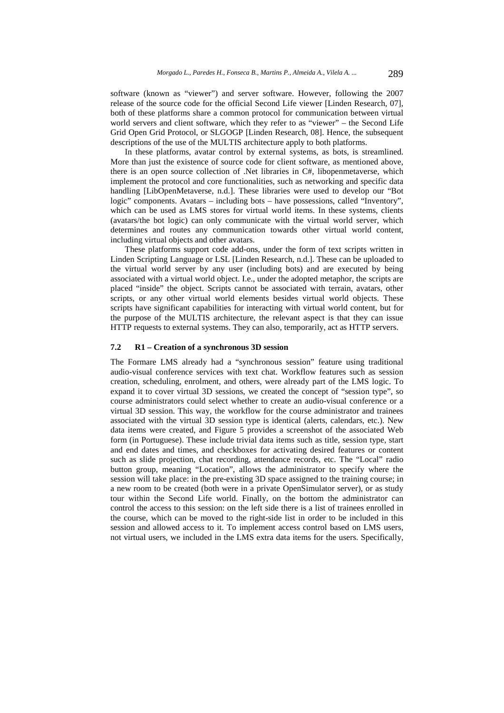software (known as "viewer") and server software. However, following the 2007 release of the source code for the official Second Life viewer [Linden Research, 07], both of these platforms share a common protocol for communication between virtual world servers and client software, which they refer to as "viewer" – the Second Life Grid Open Grid Protocol, or SLGOGP [Linden Research, 08]. Hence, the subsequent descriptions of the use of the MULTIS architecture apply to both platforms.

In these platforms, avatar control by external systems, as bots, is streamlined. More than just the existence of source code for client software, as mentioned above, there is an open source collection of .Net libraries in C#, libopenmetaverse, which implement the protocol and core functionalities, such as networking and specific data handling [LibOpenMetaverse, n.d.]. These libraries were used to develop our "Bot logic" components. Avatars – including bots – have possessions, called "Inventory", which can be used as LMS stores for virtual world items. In these systems, clients (avatars/the bot logic) can only communicate with the virtual world server, which determines and routes any communication towards other virtual world content, including virtual objects and other avatars.

These platforms support code add-ons, under the form of text scripts written in Linden Scripting Language or LSL [Linden Research, n.d.]. These can be uploaded to the virtual world server by any user (including bots) and are executed by being associated with a virtual world object. I.e., under the adopted metaphor, the scripts are placed "inside" the object. Scripts cannot be associated with terrain, avatars, other scripts, or any other virtual world elements besides virtual world objects. These scripts have significant capabilities for interacting with virtual world content, but for the purpose of the MULTIS architecture, the relevant aspect is that they can issue HTTP requests to external systems. They can also, temporarily, act as HTTP servers.

### **7.2 R1 – Creation of a synchronous 3D session**

The Formare LMS already had a "synchronous session" feature using traditional audio-visual conference services with text chat. Workflow features such as session creation, scheduling, enrolment, and others, were already part of the LMS logic. To expand it to cover virtual 3D sessions, we created the concept of "session type", so course administrators could select whether to create an audio-visual conference or a virtual 3D session. This way, the workflow for the course administrator and trainees associated with the virtual 3D session type is identical (alerts, calendars, etc.). New data items were created, and Figure 5 provides a screenshot of the associated Web form (in Portuguese). These include trivial data items such as title, session type, start and end dates and times, and checkboxes for activating desired features or content such as slide projection, chat recording, attendance records, etc. The "Local" radio button group, meaning "Location", allows the administrator to specify where the session will take place: in the pre-existing 3D space assigned to the training course; in a new room to be created (both were in a private OpenSimulator server), or as study tour within the Second Life world. Finally, on the bottom the administrator can control the access to this session: on the left side there is a list of trainees enrolled in the course, which can be moved to the right-side list in order to be included in this session and allowed access to it. To implement access control based on LMS users, not virtual users, we included in the LMS extra data items for the users. Specifically,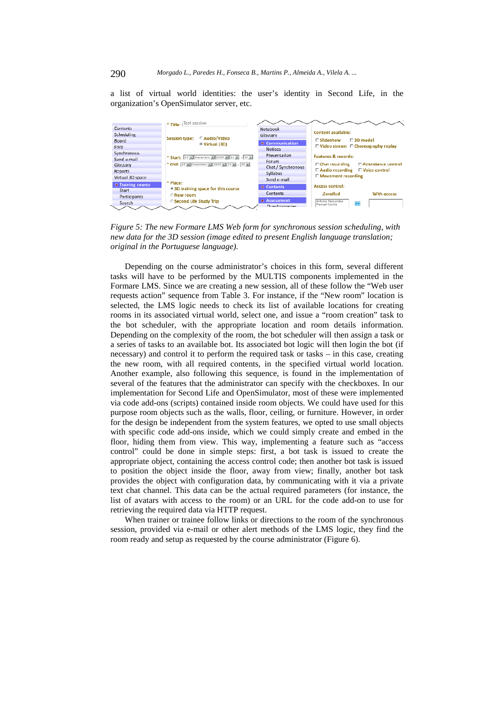a list of virtual world identities: the user's identity in Second Life, in the organization's OpenSimulator server, etc.



*Figure 5: The new Formare LMS Web form for synchronous session scheduling, with new data for the 3D session (image edited to present English language translation; original in the Portuguese language).* 

Depending on the course administrator's choices in this form, several different tasks will have to be performed by the MULTIS components implemented in the Formare LMS. Since we are creating a new session, all of these follow the "Web user requests action" sequence from Table 3. For instance, if the "New room" location is selected, the LMS logic needs to check its list of available locations for creating rooms in its associated virtual world, select one, and issue a "room creation" task to the bot scheduler, with the appropriate location and room details information. Depending on the complexity of the room, the bot scheduler will then assign a task or a series of tasks to an available bot. Its associated bot logic will then login the bot (if necessary) and control it to perform the required task or tasks – in this case, creating the new room, with all required contents, in the specified virtual world location. Another example, also following this sequence, is found in the implementation of several of the features that the administrator can specify with the checkboxes. In our implementation for Second Life and OpenSimulator, most of these were implemented via code add-ons (scripts) contained inside room objects. We could have used for this purpose room objects such as the walls, floor, ceiling, or furniture. However, in order for the design be independent from the system features, we opted to use small objects with specific code add-ons inside, which we could simply create and embed in the floor, hiding them from view. This way, implementing a feature such as "access control" could be done in simple steps: first, a bot task is issued to create the appropriate object, containing the access control code; then another bot task is issued to position the object inside the floor, away from view; finally, another bot task provides the object with configuration data, by communicating with it via a private text chat channel. This data can be the actual required parameters (for instance, the list of avatars with access to the room) or an URL for the code add-on to use for retrieving the required data via HTTP request.

When trainer or trainee follow links or directions to the room of the synchronous session, provided via e-mail or other alert methods of the LMS logic, they find the room ready and setup as requested by the course administrator (Figure 6).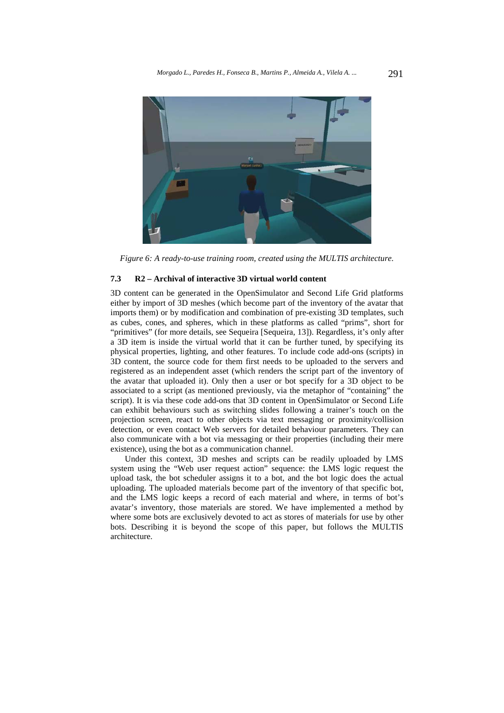

*Figure 6: A ready-to-use training room, created using the MULTIS architecture.* 

# **7.3 R2 – Archival of interactive 3D virtual world content**

3D content can be generated in the OpenSimulator and Second Life Grid platforms either by import of 3D meshes (which become part of the inventory of the avatar that imports them) or by modification and combination of pre-existing 3D templates, such as cubes, cones, and spheres, which in these platforms as called "prims", short for "primitives" (for more details, see Sequeira [Sequeira, 13]). Regardless, it's only after a 3D item is inside the virtual world that it can be further tuned, by specifying its physical properties, lighting, and other features. To include code add-ons (scripts) in 3D content, the source code for them first needs to be uploaded to the servers and registered as an independent asset (which renders the script part of the inventory of the avatar that uploaded it). Only then a user or bot specify for a 3D object to be associated to a script (as mentioned previously, via the metaphor of "containing" the script). It is via these code add-ons that 3D content in OpenSimulator or Second Life can exhibit behaviours such as switching slides following a trainer's touch on the projection screen, react to other objects via text messaging or proximity/collision detection, or even contact Web servers for detailed behaviour parameters. They can also communicate with a bot via messaging or their properties (including their mere existence), using the bot as a communication channel.

Under this context, 3D meshes and scripts can be readily uploaded by LMS system using the "Web user request action" sequence: the LMS logic request the upload task, the bot scheduler assigns it to a bot, and the bot logic does the actual uploading. The uploaded materials become part of the inventory of that specific bot, and the LMS logic keeps a record of each material and where, in terms of bot's avatar's inventory, those materials are stored. We have implemented a method by where some bots are exclusively devoted to act as stores of materials for use by other bots. Describing it is beyond the scope of this paper, but follows the MULTIS architecture.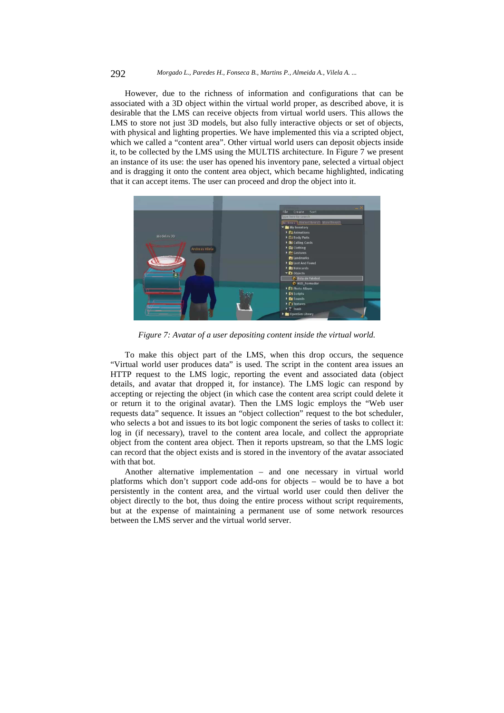#### 292 *Morgado L., Paredes H., Fonseca B., Martins P., Almeida A., Vilela A. ...*

However, due to the richness of information and configurations that can be associated with a 3D object within the virtual world proper, as described above, it is desirable that the LMS can receive objects from virtual world users. This allows the LMS to store not just 3D models, but also fully interactive objects or set of objects, with physical and lighting properties. We have implemented this via a scripted object, which we called a "content area". Other virtual world users can deposit objects inside it, to be collected by the LMS using the MULTIS architecture. In Figure 7 we present an instance of its use: the user has opened his inventory pane, selected a virtual object and is dragging it onto the content area object, which became highlighted, indicating that it can accept items. The user can proceed and drop the object into it.



*Figure 7: Avatar of a user depositing content inside the virtual world.* 

To make this object part of the LMS, when this drop occurs, the sequence "Virtual world user produces data" is used. The script in the content area issues an HTTP request to the LMS logic, reporting the event and associated data (object details, and avatar that dropped it, for instance). The LMS logic can respond by accepting or rejecting the object (in which case the content area script could delete it or return it to the original avatar). Then the LMS logic employs the "Web user requests data" sequence. It issues an "object collection" request to the bot scheduler, who selects a bot and issues to its bot logic component the series of tasks to collect it: log in (if necessary), travel to the content area locale, and collect the appropriate object from the content area object. Then it reports upstream, so that the LMS logic can record that the object exists and is stored in the inventory of the avatar associated with that bot.

Another alternative implementation – and one necessary in virtual world platforms which don't support code add-ons for objects – would be to have a bot persistently in the content area, and the virtual world user could then deliver the object directly to the bot, thus doing the entire process without script requirements, but at the expense of maintaining a permanent use of some network resources between the LMS server and the virtual world server.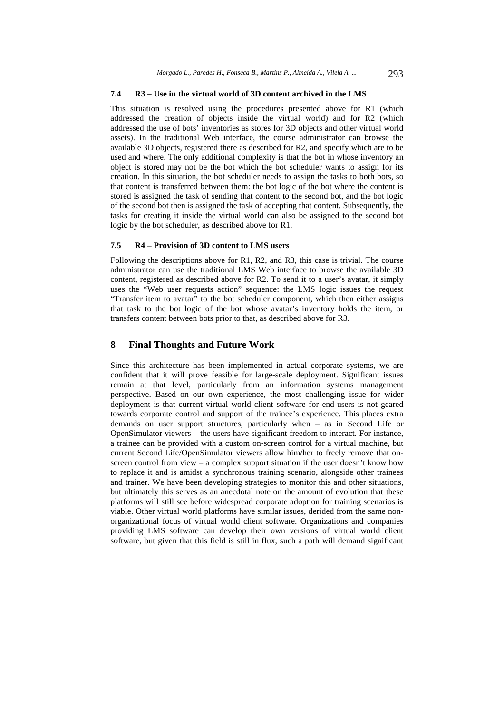# **7.4 R3 – Use in the virtual world of 3D content archived in the LMS**

This situation is resolved using the procedures presented above for R1 (which addressed the creation of objects inside the virtual world) and for R2 (which addressed the use of bots' inventories as stores for 3D objects and other virtual world assets). In the traditional Web interface, the course administrator can browse the available 3D objects, registered there as described for R2, and specify which are to be used and where. The only additional complexity is that the bot in whose inventory an object is stored may not be the bot which the bot scheduler wants to assign for its creation. In this situation, the bot scheduler needs to assign the tasks to both bots, so that content is transferred between them: the bot logic of the bot where the content is stored is assigned the task of sending that content to the second bot, and the bot logic of the second bot then is assigned the task of accepting that content. Subsequently, the tasks for creating it inside the virtual world can also be assigned to the second bot logic by the bot scheduler, as described above for R1.

### **7.5 R4 – Provision of 3D content to LMS users**

Following the descriptions above for R1, R2, and R3, this case is trivial. The course administrator can use the traditional LMS Web interface to browse the available 3D content, registered as described above for R2. To send it to a user's avatar, it simply uses the "Web user requests action" sequence: the LMS logic issues the request "Transfer item to avatar" to the bot scheduler component, which then either assigns that task to the bot logic of the bot whose avatar's inventory holds the item, or transfers content between bots prior to that, as described above for R3.

# **8 Final Thoughts and Future Work**

Since this architecture has been implemented in actual corporate systems, we are confident that it will prove feasible for large-scale deployment. Significant issues remain at that level, particularly from an information systems management perspective. Based on our own experience, the most challenging issue for wider deployment is that current virtual world client software for end-users is not geared towards corporate control and support of the trainee's experience. This places extra demands on user support structures, particularly when – as in Second Life or OpenSimulator viewers – the users have significant freedom to interact. For instance, a trainee can be provided with a custom on-screen control for a virtual machine, but current Second Life/OpenSimulator viewers allow him/her to freely remove that onscreen control from view – a complex support situation if the user doesn't know how to replace it and is amidst a synchronous training scenario, alongside other trainees and trainer. We have been developing strategies to monitor this and other situations, but ultimately this serves as an anecdotal note on the amount of evolution that these platforms will still see before widespread corporate adoption for training scenarios is viable. Other virtual world platforms have similar issues, derided from the same nonorganizational focus of virtual world client software. Organizations and companies providing LMS software can develop their own versions of virtual world client software, but given that this field is still in flux, such a path will demand significant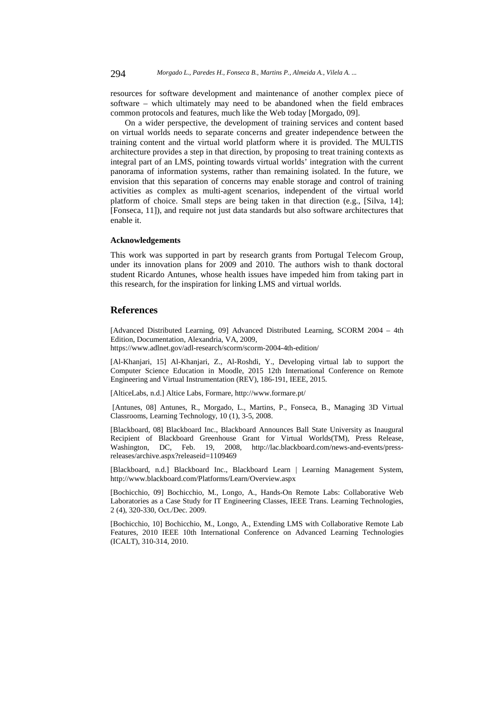resources for software development and maintenance of another complex piece of software – which ultimately may need to be abandoned when the field embraces common protocols and features, much like the Web today [Morgado, 09].

On a wider perspective, the development of training services and content based on virtual worlds needs to separate concerns and greater independence between the training content and the virtual world platform where it is provided. The MULTIS architecture provides a step in that direction, by proposing to treat training contexts as integral part of an LMS, pointing towards virtual worlds' integration with the current panorama of information systems, rather than remaining isolated. In the future, we envision that this separation of concerns may enable storage and control of training activities as complex as multi-agent scenarios, independent of the virtual world platform of choice. Small steps are being taken in that direction (e.g., [Silva, 14]; [Fonseca, 11]), and require not just data standards but also software architectures that enable it.

# **Acknowledgements**

This work was supported in part by research grants from Portugal Telecom Group, under its innovation plans for 2009 and 2010. The authors wish to thank doctoral student Ricardo Antunes, whose health issues have impeded him from taking part in this research, for the inspiration for linking LMS and virtual worlds.

# **References**

[Advanced Distributed Learning, 09] Advanced Distributed Learning, SCORM 2004 – 4th Edition, Documentation, Alexandria, VA, 2009,

https://www.adlnet.gov/adl-research/scorm/scorm-2004-4th-edition/

[Al-Khanjari, 15] Al-Khanjari, Z., Al-Roshdi, Y., Developing virtual lab to support the Computer Science Education in Moodle, 2015 12th International Conference on Remote Engineering and Virtual Instrumentation (REV), 186-191, IEEE, 2015.

[AlticeLabs, n.d.] Altice Labs, Formare, http://www.formare.pt/

 [Antunes, 08] Antunes, R., Morgado, L., Martins, P., Fonseca, B., Managing 3D Virtual Classrooms, Learning Technology, 10 (1), 3-5, 2008.

[Blackboard, 08] Blackboard Inc., Blackboard Announces Ball State University as Inaugural Recipient of Blackboard Greenhouse Grant for Virtual Worlds(TM), Press Release, Washington, DC, Feb. 19, 2008, http://lac.blackboard.com/news-and-events/pressreleases/archive.aspx?releaseid=1109469

[Blackboard, n.d.] Blackboard Inc., Blackboard Learn | Learning Management System, http://www.blackboard.com/Platforms/Learn/Overview.aspx

[Bochicchio, 09] Bochicchio, M., Longo, A., Hands-On Remote Labs: Collaborative Web Laboratories as a Case Study for IT Engineering Classes, IEEE Trans. Learning Technologies, 2 (4), 320-330, Oct./Dec. 2009.

[Bochicchio, 10] Bochicchio, M., Longo, A., Extending LMS with Collaborative Remote Lab Features, 2010 IEEE 10th International Conference on Advanced Learning Technologies (ICALT), 310-314, 2010.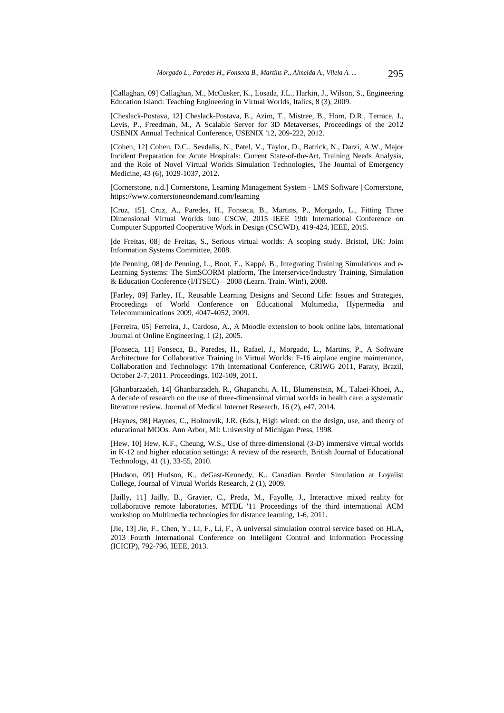[Callaghan, 09] Callaghan, M., McCusker, K., Losada, J.L., Harkin, J., Wilson, S., Engineering Education Island: Teaching Engineering in Virtual Worlds, Italics, 8 (3), 2009.

[Cheslack-Postava, 12] Cheslack-Postava, E., Azim, T., Mistree, B., Horn, D.R., Terrace, J., Levis, P., Freedman, M., A Scalable Server for 3D Metaverses, Proceedings of the 2012 USENIX Annual Technical Conference, USENIX '12, 209-222, 2012.

[Cohen, 12] Cohen, D.C., Sevdalis, N., Patel, V., Taylor, D., Batrick, N., Darzi, A.W., Major Incident Preparation for Acute Hospitals: Current State-of-the-Art, Training Needs Analysis, and the Role of Novel Virtual Worlds Simulation Technologies, The Journal of Emergency Medicine, 43 (6), 1029-1037, 2012.

[Cornerstone, n.d.] Cornerstone, Learning Management System - LMS Software | Cornerstone, https://www.cornerstoneondemand.com/learning

[Cruz, 15], Cruz, A., Paredes, H., Fonseca, B., Martins, P., Morgado, L., Fitting Three Dimensional Virtual Worlds into CSCW, 2015 IEEE 19th International Conference on Computer Supported Cooperative Work in Design (CSCWD), 419-424, IEEE, 2015.

[de Freitas, 08] de Freitas, S., Serious virtual worlds: A scoping study. Bristol, UK: Joint Information Systems Committee, 2008.

[de Penning, 08] de Penning, L., Boot, E., Kappé, B., Integrating Training Simulations and e-Learning Systems: The SimSCORM platform, The Interservice/Industry Training, Simulation & Education Conference (I/ITSEC) – 2008 (Learn. Train. Win!), 2008.

[Farley, 09] Farley, H., Reusable Learning Designs and Second Life: Issues and Strategies, Proceedings of World Conference on Educational Multimedia, Hypermedia and Telecommunications 2009, 4047-4052, 2009.

[Ferreira, 05] Ferreira, J., Cardoso, A., A Moodle extension to book online labs, International Journal of Online Engineering, 1 (2), 2005.

[Fonseca, 11] Fonseca, B., Paredes, H., Rafael, J., Morgado, L., Martins, P., A Software Architecture for Collaborative Training in Virtual Worlds: F-16 airplane engine maintenance, Collaboration and Technology: 17th International Conference, CRIWG 2011, Paraty, Brazil, October 2-7, 2011. Proceedings, 102-109, 2011.

[Ghanbarzadeh, 14] Ghanbarzadeh, R., Ghapanchi, A. H., Blumenstein, M., Talaei-Khoei, A., A decade of research on the use of three-dimensional virtual worlds in health care: a systematic literature review. Journal of Medical Internet Research, 16 (2), e47, 2014.

[Haynes, 98] Haynes, C., Holmevik, J.R. (Eds.), High wired: on the design, use, and theory of educational MOOs. Ann Arbor, MI: University of Michigan Press, 1998.

[Hew, 10] Hew, K.F., Cheung, W.S., Use of three-dimensional (3-D) immersive virtual worlds in K-12 and higher education settings: A review of the research, British Journal of Educational Technology, 41 (1), 33-55, 2010.

[Hudson, 09] Hudson, K., deGast-Kennedy, K., Canadian Border Simulation at Loyalist College, Journal of Virtual Worlds Research, 2 (1), 2009.

[Jailly, 11] Jailly, B., Gravier, C., Preda, M., Fayolle, J., Interactive mixed reality for collaborative remote laboratories, MTDL '11 Proceedings of the third international ACM workshop on Multimedia technologies for distance learning, 1-6, 2011.

[Jie, 13] Jie, F., Chen, Y., Li, F., Li, F., A universal simulation control service based on HLA, 2013 Fourth International Conference on Intelligent Control and Information Processing (ICICIP), 792-796, IEEE, 2013.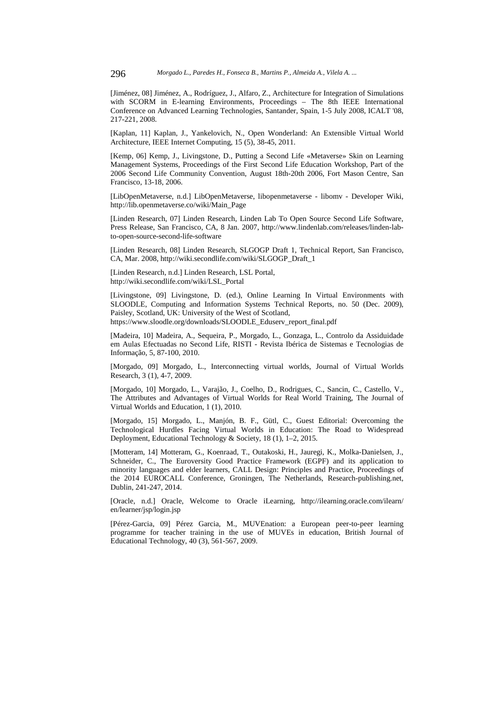[Jiménez, 08] Jiménez, A., Rodríguez, J., Alfaro, Z., Architecture for Integration of Simulations with SCORM in E-learning Environments, Proceedings – The 8th IEEE International Conference on Advanced Learning Technologies, Santander, Spain, 1-5 July 2008, ICALT '08, 217-221, 2008.

[Kaplan, 11] Kaplan, J., Yankelovich, N., Open Wonderland: An Extensible Virtual World Architecture, IEEE Internet Computing, 15 (5), 38-45, 2011.

[Kemp, 06] Kemp, J., Livingstone, D., Putting a Second Life «Metaverse» Skin on Learning Management Systems, Proceedings of the First Second Life Education Workshop, Part of the 2006 Second Life Community Convention, August 18th-20th 2006, Fort Mason Centre, San Francisco, 13-18, 2006.

[LibOpenMetaverse, n.d.] LibOpenMetaverse, libopenmetaverse - libomv - Developer Wiki, http://lib.openmetaverse.co/wiki/Main\_Page

[Linden Research, 07] Linden Research, Linden Lab To Open Source Second Life Software, Press Release, San Francisco, CA, 8 Jan. 2007, http://www.lindenlab.com/releases/linden-labto-open-source-second-life-software

[Linden Research, 08] Linden Research, SLGOGP Draft 1, Technical Report, San Francisco, CA, Mar. 2008, http://wiki.secondlife.com/wiki/SLGOGP\_Draft\_1

[Linden Research, n.d.] Linden Research, LSL Portal, http://wiki.secondlife.com/wiki/LSL\_Portal

[Livingstone, 09] Livingstone, D. (ed.), Online Learning In Virtual Environments with SLOODLE, Computing and Information Systems Technical Reports, no. 50 (Dec. 2009), Paisley, Scotland, UK: University of the West of Scotland,

https://www.sloodle.org/downloads/SLOODLE\_Eduserv\_report\_final.pdf

[Madeira, 10] Madeira, A., Sequeira, P., Morgado, L., Gonzaga, L., Controlo da Assiduidade em Aulas Efectuadas no Second Life, RISTI - Revista Ibérica de Sistemas e Tecnologias de Informação, 5, 87-100, 2010.

[Morgado, 09] Morgado, L., Interconnecting virtual worlds, Journal of Virtual Worlds Research, 3 (1), 4-7, 2009.

[Morgado, 10] Morgado, L., Varajão, J., Coelho, D., Rodrigues, C., Sancin, C., Castello, V., The Attributes and Advantages of Virtual Worlds for Real World Training, The Journal of Virtual Worlds and Education, 1 (1), 2010.

[Morgado, 15] Morgado, L., Manjón, B. F., Gütl, C., Guest Editorial: Overcoming the Technological Hurdles Facing Virtual Worlds in Education: The Road to Widespread Deployment, Educational Technology & Society, 18 (1), 1–2, 2015.

[Motteram, 14] Motteram, G., Koenraad, T., Outakoski, H., Jauregi, K., Molka-Danielsen, J., Schneider, C., The Euroversity Good Practice Framework (EGPF) and its application to minority languages and elder learners, CALL Design: Principles and Practice, Proceedings of the 2014 EUROCALL Conference, Groningen, The Netherlands, Research-publishing.net, Dublin, 241-247, 2014.

[Oracle, n.d.] Oracle, Welcome to Oracle iLearning, http://ilearning.oracle.com/ilearn/ en/learner/jsp/login.jsp

[Pérez-Garcia, 09] Pérez Garcia, M., MUVEnation: a European peer-to-peer learning programme for teacher training in the use of MUVEs in education, British Journal of Educational Technology, 40 (3), 561-567, 2009.